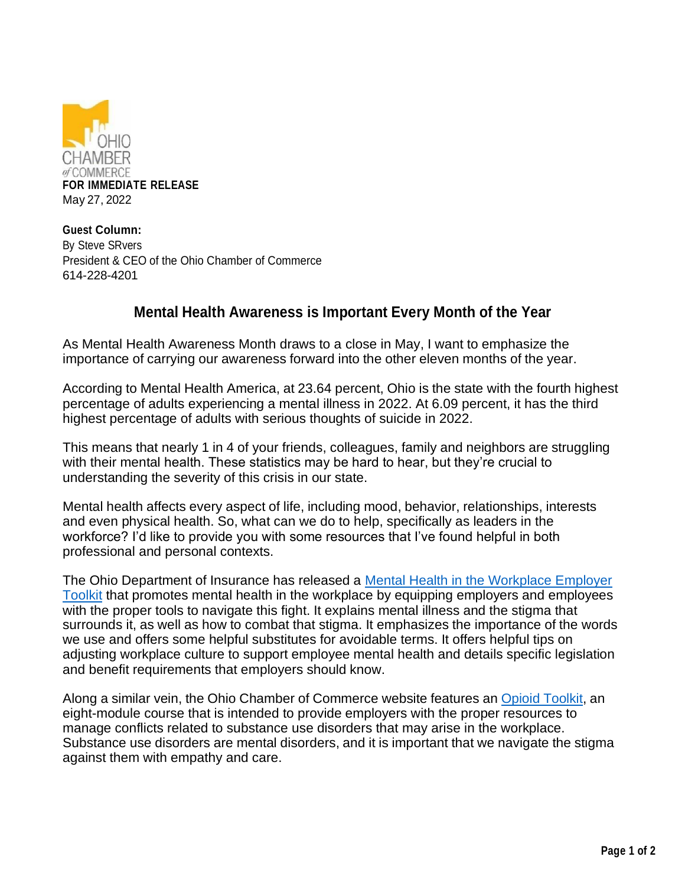

**Guest Column:** By Steve SRvers President & CEO of the Ohio Chamber of Commerce 614-228-4201

## **Mental Health Awareness is Important Every Month of the Year**

As Mental Health Awareness Month draws to a close in May, I want to emphasize the importance of carrying our awareness forward into the other eleven months of the year.

According to Mental Health America, at 23.64 percent, Ohio is the state with the fourth highest percentage of adults experiencing a mental illness in 2022. At 6.09 percent, it has the third highest percentage of adults with serious thoughts of suicide in 2022.

This means that nearly 1 in 4 of your friends, colleagues, family and neighbors are struggling with their mental health. These statistics may be hard to hear, but they're crucial to understanding the severity of this crisis in our state.

Mental health affects every aspect of life, including mood, behavior, relationships, interests and even physical health. So, what can we do to help, specifically as leaders in the workforce? I'd like to provide you with some resources that I've found helpful in both professional and personal contexts.

The Ohio Department of Insurance has released a Mental Health in the Workplace Employer Toolkit that promotes mental health in the workplace by equipping employers and employees with the proper tools to navigate this fight. It explains mental illness and the stigma that surrounds it, as well as how to combat that stigma. It emphasizes the importance of the words we use and offers some helpful substitutes for avoidable terms. It offers helpful tips on adjusting workplace culture to support employee mental health and details specific legislation and benefit requirements that employers should know.

Along a similar vein, the Ohio Chamber of Commerce website features an Opioid Toolkit, an eight-module course that is intended to provide employers with the proper resources to manage conflicts related to substance use disorders that may arise in the workplace. Substance use disorders are mental disorders, and it is important that we navigate the stigma against them with empathy and care.